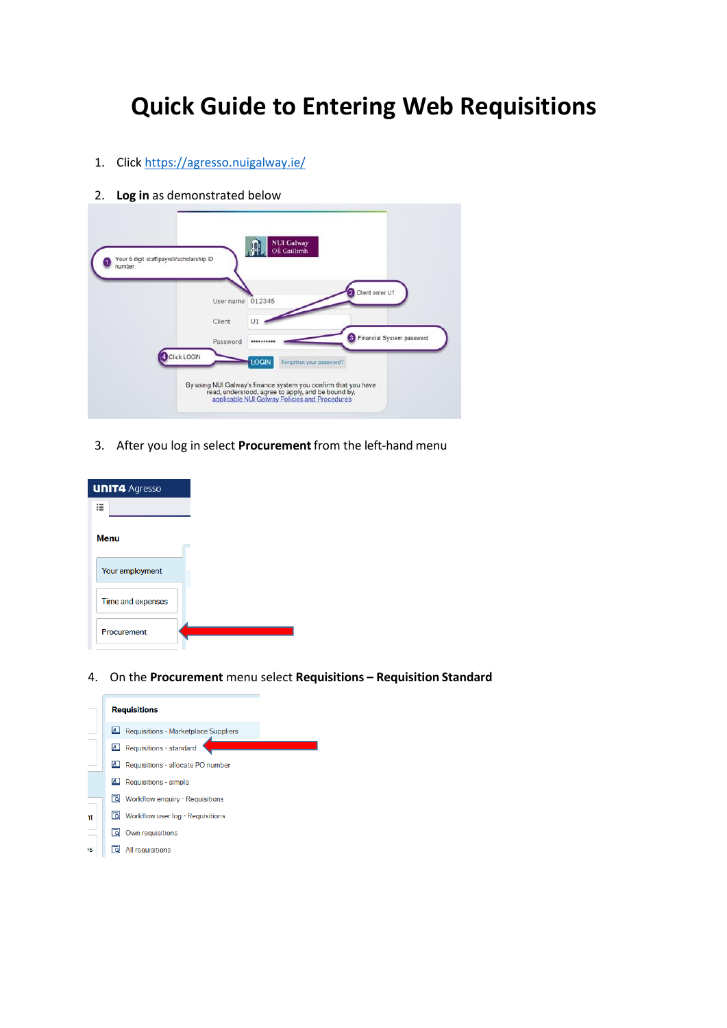# **Quick Guide to Entering Web Requisitions**

- 1. Clic[k https://agresso.nuigalway.ie/](https://agresso.nuigalway.ie/)
- 2. **Log in** as demonstrated below



3. After you log in select **Procurement** from the left-hand menu

| <b>UNIT4 Agresso</b> |  |
|----------------------|--|
| ≔                    |  |
| <b>Menu</b>          |  |
| Your employment      |  |
| Time and expenses    |  |
| Procurement          |  |

4. On the **Procurement** menu select **Requisitions – Requisition Standard**

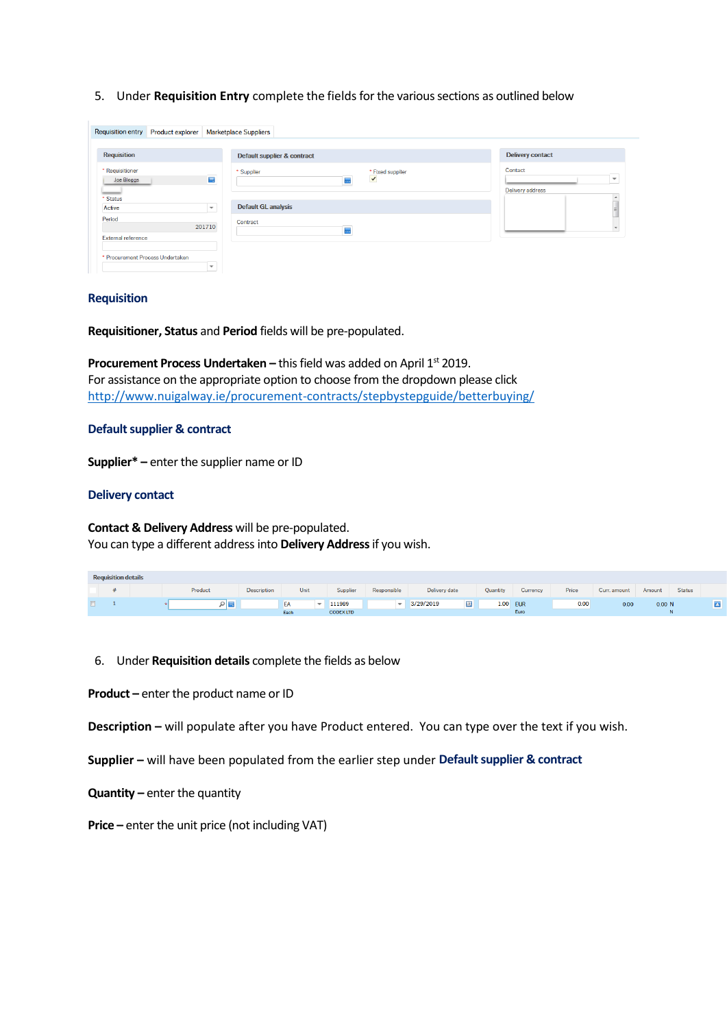5. Under **Requisition Entry** complete the fields for the various sections as outlined below

|                                  | Requisition entry Product explorer |                                                                                                                                                                                                                                                                                                                                                                                                                                                                                 | <b>Marketplace Suppliers</b>                        |                                                         |
|----------------------------------|------------------------------------|---------------------------------------------------------------------------------------------------------------------------------------------------------------------------------------------------------------------------------------------------------------------------------------------------------------------------------------------------------------------------------------------------------------------------------------------------------------------------------|-----------------------------------------------------|---------------------------------------------------------|
| <b>Requisition</b>               |                                    |                                                                                                                                                                                                                                                                                                                                                                                                                                                                                 | Default supplier & contract                         | <b>Delivery contact</b>                                 |
| * Requisitioner<br>Joe Bloggs    |                                    | $\frac{1}{2} \left( \frac{1}{2} \right) \left( \frac{1}{2} \right) \left( \frac{1}{2} \right) \left( \frac{1}{2} \right) \left( \frac{1}{2} \right) \left( \frac{1}{2} \right) \left( \frac{1}{2} \right) \left( \frac{1}{2} \right) \left( \frac{1}{2} \right) \left( \frac{1}{2} \right) \left( \frac{1}{2} \right) \left( \frac{1}{2} \right) \left( \frac{1}{2} \right) \left( \frac{1}{2} \right) \left( \frac{1}{2} \right) \left( \frac{1}{2} \right) \left( \frac$<br>買 | * Supplier<br>* Fixed supplier<br>$\checkmark$<br>5 | Contact<br>$\overline{\phantom{a}}$<br>Delivery address |
| * Status<br>Active               |                                    | $\overline{\phantom{a}}$                                                                                                                                                                                                                                                                                                                                                                                                                                                        | <b>Default GL analysis</b>                          | $\overline{a}$<br>E                                     |
| Period                           |                                    | 201710                                                                                                                                                                                                                                                                                                                                                                                                                                                                          | Contract<br>m,                                      |                                                         |
| External reference               |                                    |                                                                                                                                                                                                                                                                                                                                                                                                                                                                                 |                                                     |                                                         |
| * Procurement Process Undertaken |                                    | $\overline{\phantom{a}}$                                                                                                                                                                                                                                                                                                                                                                                                                                                        |                                                     |                                                         |

#### **Requisition**

**Requisitioner, Status** and **Period** fields will be pre-populated.

**Procurement Process Undertaken – this field was added on April 1<sup>st</sup> 2019.** For assistance on the appropriate option to choose from the dropdown please click <http://www.nuigalway.ie/procurement-contracts/stepbystepguide/betterbuying/>

#### **Default supplier & contract**

**Supplier\* –** enter the supplier name or ID

#### **Delivery contact**

**Contact & Delivery Address** will be pre-populated. You can type a different address into **Delivery Address**if you wish.

| <b>Requisition details</b> |  |  |         |                    |                    |                    |                          |                             |                 |                    |       |              |        |               |  |
|----------------------------|--|--|---------|--------------------|--------------------|--------------------|--------------------------|-----------------------------|-----------------|--------------------|-------|--------------|--------|---------------|--|
|                            |  |  | Product | <b>Description</b> | Unit               | Supplier           | Responsible              | Delivery date               | <b>Quantity</b> | Currency           | Price | Curr, amount | Amount | <b>Status</b> |  |
|                            |  |  |         |                    | EA<br><b>COLLA</b> | 111989<br>CODEVITO | $\overline{\phantom{a}}$ | $\overline{2}$<br>3/29/2019 | 1.00            | <b>EUR</b><br>Eiro | 0.00  | 0.00         | 0.00 N |               |  |

- 6. Under **Requisition details** complete the fields as below
- **Product –** enter the product name or ID

**Description –** will populate after you have Product entered. You can type over the text if you wish.

**Supplier –** will have been populated from the earlier step under **Default supplier & contract** 

- **Quantity –** enter the quantity
- **Price –** enter the unit price (not including VAT)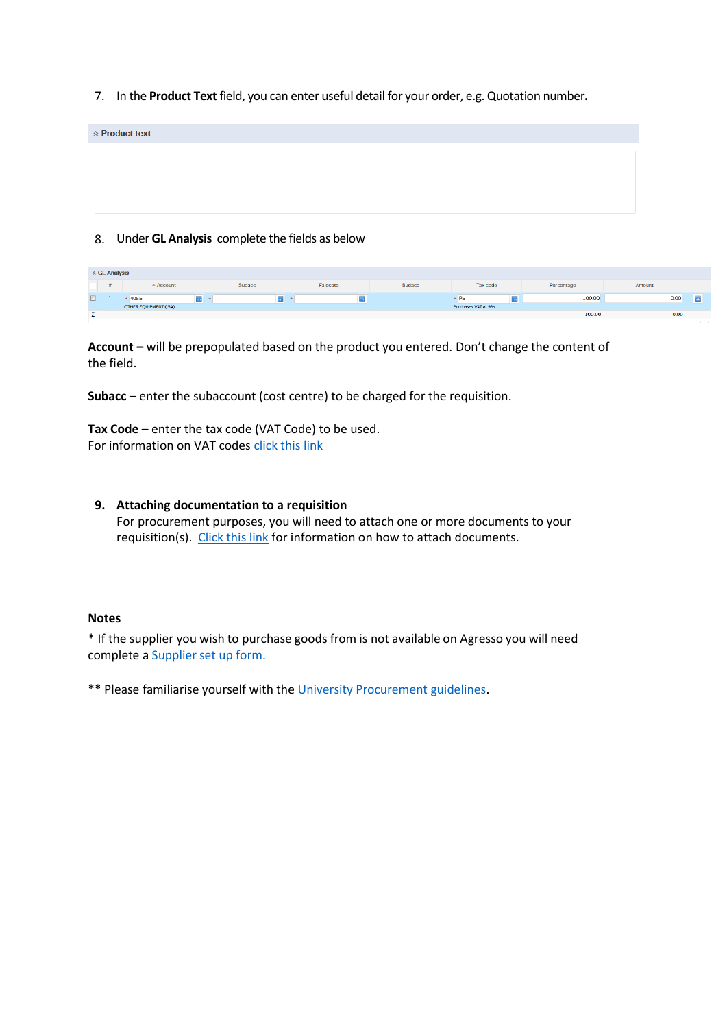7. In the **Product Text** field, you can enter useful detail for your order, e.g. Quotation number**.** 

| <b>Report Fig. 2</b> |  |
|----------------------|--|
|                      |  |
|                      |  |
|                      |  |
|                      |  |

## 8. Under **GL Analysis** complete the fields as below

| ☆ GL Analysis |                       |        |          |               |                     |            |        |   |  |  |  |  |
|---------------|-----------------------|--------|----------|---------------|---------------------|------------|--------|---|--|--|--|--|
|               | Account               | Subacc | Falocate | <b>Budacc</b> | Tax code            | Percentage | Amount |   |  |  |  |  |
|               | -<br>4055             |        |          |               |                     | 100.00     | 0.00   | - |  |  |  |  |
|               | OTHER EQUIPMENT (ISA) |        |          |               | Purchases VAT at 9% |            |        |   |  |  |  |  |
|               |                       |        |          |               |                     | 100.00     | 0.00   |   |  |  |  |  |

**Account –** will be prepopulated based on the product you entered. Don't change the content of the field.

**Subacc** – enter the subaccount (cost centre) to be charged for the requisition.

Tax Code – enter the tax code (VAT Code) to be used. For information on VAT codes [click this link](https://www.nuigalway.ie/financial-accounting/taxation/vat/)

## **9. Attaching documentation to a requisition**

For procurement purposes, you will need to attach one or more documents to your requisition(s). [Click this link](http://www.nuigalway.ie/media/informationsolutionsservices/files/agressofiles/Document-Upload-to-Requisitions.pdf) for information on how to attach documents.

## **Notes**

\* If the supplier you wish to purchase goods from is not available on Agresso you will need complete a [Supplier](http://www.nuigalway.ie/media/procurementandcontracts/20180906-New-Supplier-Setup-Form-V19-Sept-18.docx) set up form.

\*\* Please familiarise yourself with the [University Procurement guidelines.](http://www.nuigalway.ie/procurement-contracts/stepbystepguide)